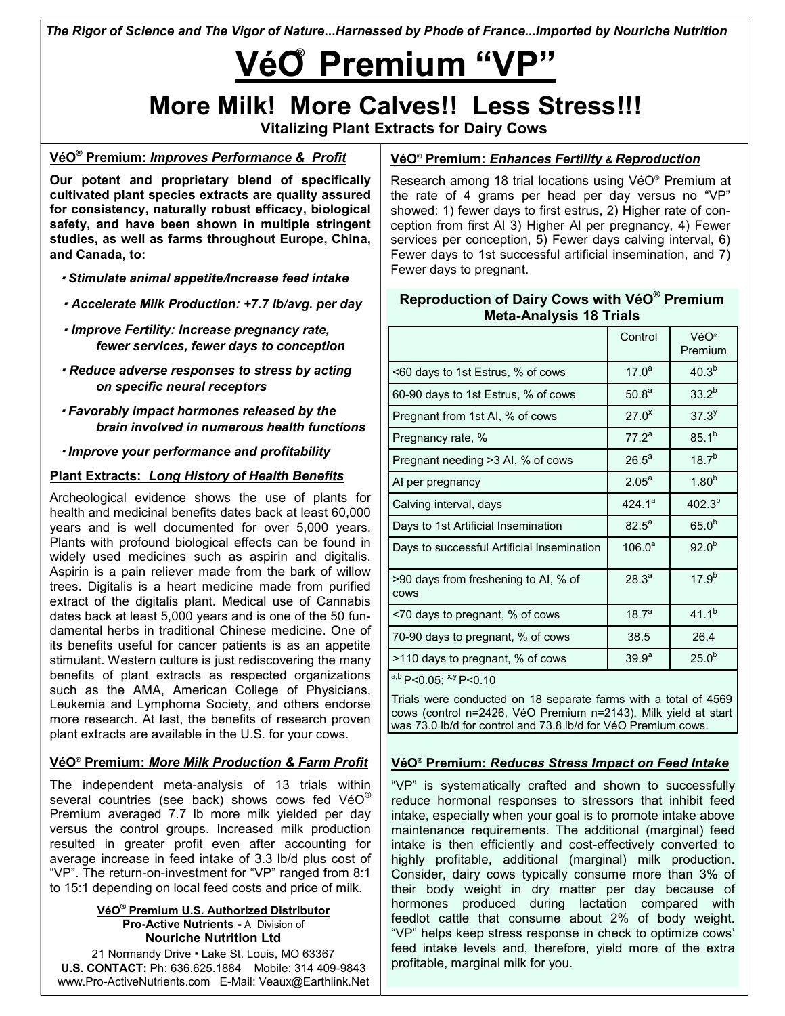*The Rigor of Science and The Vigor of Nature***...***Harnessed by Phode of France...Imported by Nouriche Nutrition*

# **® VéO Premium "VP"**

# **More Milk! More Calves!! Less Stress!!!**

**Vitalizing Plant Extracts for Dairy Cows**

### **VéO® Premium:** *Improves Performance & Profit*

**Our potent and proprietary blend of specifically cultivated plant species extracts are quality assured for consistency, naturally robust efficacy, biological safety, and have been shown in multiple stringent studies, as well as farms throughout Europe, China, and Canada, to:**

- · *Stimulate animal appetite*/*Increase feed intake*
- · *Accelerate Milk Production: +7.7 lb/avg. per day*
- · *Improve Fertility: Increase pregnancy rate, fewer services, fewer days to conception*
- · *Reduce adverse responses to stress by acting on specific neural receptors*
- · *Favorably impact hormones released by the brain involved in numerous health functions*

· *Improve your performance and profitability*

#### **Plant Extracts:** *Long History of Health Benefits*

Archeological evidence shows the use of plants for health and medicinal benefits dates back at least 60,000 years and is well documented for over 5,000 years. Plants with profound biological effects can be found in widely used medicines such as aspirin and digitalis. Aspirin is a pain reliever made from the bark of willow trees. Digitalis is a heart medicine made from purified extract of the digitalis plant. Medical use of Cannabis dates back at least 5,000 years and is one of the 50 fundamental herbs in traditional Chinese medicine. One of its benefits useful for cancer patients is as an appetite stimulant. Western culture is just rediscovering the many benefits of plant extracts as respected organizations such as the AMA, American College of Physicians, Leukemia and Lymphoma Society, and others endorse more research. At last, the benefits of research proven plant extracts are available in the U.S. for your cows.

#### **VéO® Premium:** *More Milk Production & Farm Profit*

The independent meta-analysis of 13 trials within several countries (see back) shows cows fed VéO® Premium averaged 7.7 lb more milk yielded per day versus the control groups. Increased milk production resulted in greater profit even after accounting for average increase in feed intake of 3.3 lb/d plus cost of "VP". The return-on-investment for "VP" ranged from 8:1 to 15:1 depending on local feed costs and price of milk.

#### **VéO® Premium U.S. Authorized Distributor Pro-Active Nutrients -** A Division of **Nouriche Nutrition Ltd**

21 Normandy Drive · Lake St. Louis, MO 63367 **U.S. CONTACT:** Ph: 636.625.1884 Mobile: 314 409-9843 www.Pro-ActiveNutrients.com E-Mail: Veaux@Earthlink.Net

#### **VéO® Premium:** *Enhances Fertility & Reproduction*

Research among 18 trial locations using VéO® Premium at the rate of 4 grams per head per day versus no "VP" showed: 1) fewer days to first estrus, 2) Higher rate of conception from first Al 3) Higher Al per pregnancy, 4) Fewer services per conception, 5) Fewer days calving interval, 6) Fewer days to 1st successful artificial insemination, and 7) Fewer days to pregnant.

#### **Reproduction of Dairy Cows with VéO® Premium Meta-Analysis 18 Trials**

|                                                     | Control           | VéO®<br>Premium   |
|-----------------------------------------------------|-------------------|-------------------|
| <60 days to 1st Estrus, % of cows                   | $17.0^a$          | $40.3^{b}$        |
| 60-90 days to 1st Estrus, % of cows                 | 50.8 <sup>a</sup> | $33.2^{b}$        |
| Pregnant from 1st AI, % of cows                     | $27.0^x$          | 37.3 <sup>y</sup> |
| Pregnancy rate, %                                   | $77.2^a$          | $85.1^{b}$        |
| Pregnant needing >3 AI, % of cows                   | $26.5^a$          | $18.7^{b}$        |
| AI per pregnancy                                    | $2.05^{\circ}$    | 1.80 <sup>b</sup> |
| Calving interval, days                              | $424.1^a$         | $402.3^{b}$       |
| Days to 1st Artificial Insemination                 | $82.5^{\circ}$    | 65.0 <sup>b</sup> |
| Days to successful Artificial Insemination          | $106.0^a$         | 92.0 <sup>b</sup> |
| >90 days from freshening to AI, % of<br><b>COWS</b> | 28.3 <sup>a</sup> | $17.9^{b}$        |
| <70 days to pregnant, % of cows                     | 18.7 <sup>a</sup> | $41.1^{b}$        |
| 70-90 days to pregnant, % of cows                   | 38.5              | 26.4              |
| >110 days to pregnant, % of cows                    | 39.9 <sup>a</sup> | 25.0 <sup>b</sup> |
| a,b P<0.05; x,y P<0.10                              |                   |                   |

Trials were conducted on 18 separate farms with a total of 4569 cows (control n=2426, VéO Premium n=2143). Milk yield at start was 73.0 lb/d for control and 73.8 lb/d for VéO Premium cows.

#### **VéO® Premium:** *Reduces Stress Impact on Feed Intake*

"VP" is systematically crafted and shown to successfully reduce hormonal responses to stressors that inhibit feed intake, especially when your goal is to promote intake above maintenance requirements. The additional (marginal) feed intake is then efficiently and cost-effectively converted to highly profitable, additional (marginal) milk production. Consider, dairy cows typically consume more than 3% of their body weight in dry matter per day because of hormones produced during lactation compared with feedlot cattle that consume about 2% of body weight. "VP" helps keep stress response in check to optimize cows' feed intake levels and, therefore, yield more of the extra profitable, marginal milk for you.